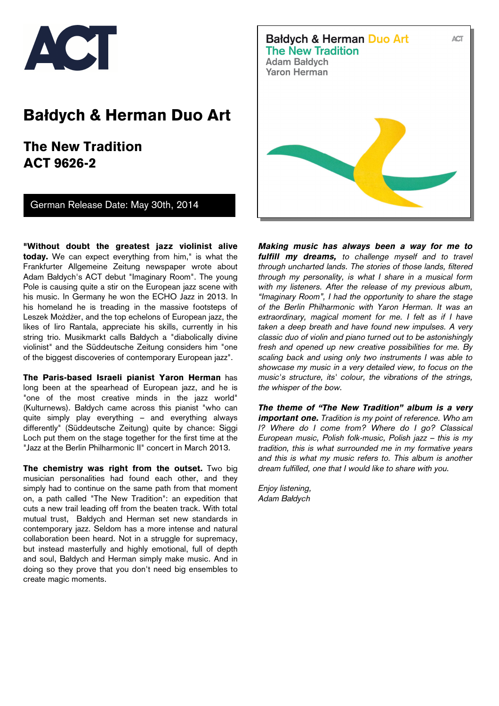

# **Bałdych & Herman Duo Art**

 **The New Tradition ACT 9626-2** 

German Release Date: May 30th, 2014

**"Without doubt the greatest jazz violinist alive today.** We can expect everything from him," is what the Frankfurter Allgemeine Zeitung newspaper wrote about Adam Bałdych's ACT debut "Imaginary Room". The young Pole is causing quite a stir on the European jazz scene with his music. In Germany he won the ECHO Jazz in 2013. In his homeland he is treading in the massive footsteps of Leszek Możdżer, and the top echelons of European jazz, the likes of Iiro Rantala, appreciate his skills, currently in his string trio. Musikmarkt calls Bałdych a "diabolically divine violinist" and the Süddeutsche Zeitung considers him "one of the biggest discoveries of contemporary European jazz".

**The Paris-based Israeli pianist Yaron Herman** has long been at the spearhead of European jazz, and he is "one of the most creative minds in the jazz world" (Kulturnews). Bałdych came across this pianist "who can quite simply play everything – and everything always differently" (Süddeutsche Zeitung) quite by chance: Siggi Loch put them on the stage together for the first time at the "Jazz at the Berlin Philharmonic II" concert in March 2013.

**The chemistry was right from the outset.** Two big musician personalities had found each other, and they simply had to continue on the same path from that moment on, a path called "The New Tradition": an expedition that cuts a new trail leading off from the beaten track. With total mutual trust, Bałdych and Herman set new standards in contemporary jazz. Seldom has a more intense and natural collaboration been heard. Not in a struggle for supremacy, but instead masterfully and highly emotional, full of depth and soul, Bałdych and Herman simply make music. And in doing so they prove that you don't need big ensembles to create magic moments.



*Making music has always been a way for me to fulfill my dreams, to challenge myself and to travel through uncharted lands. The stories of those lands, filtered through my personality, is what I share in a musical form with my listeners. After the release of my previous album, "Imaginary Room", I had the opportunity to share the stage of the Berlin Philharmonic with Yaron Herman. It was an extraordinary, magical moment for me. I felt as if I have taken a deep breath and have found new impulses. A very classic duo of violin and piano turned out to be astonishingly fresh and opened up new creative possibilities for me. By scaling back and using only two instruments I was able to showcase my music in a very detailed view, to focus on the music's structure, its' colour, the vibrations of the strings, the whisper of the bow.* 

*The theme of "The New Tradition" album is a very important one. Tradition is my point of reference. Who am I? Where do I come from? Where do I go? Classical European music, Polish folk-music, Polish jazz – this is my tradition, this is what surrounded me in my formative years and this is what my music refers to. This album is another dream fulfilled, one that I would like to share with you.* 

*Enjoy listening, Adam Bałdych*